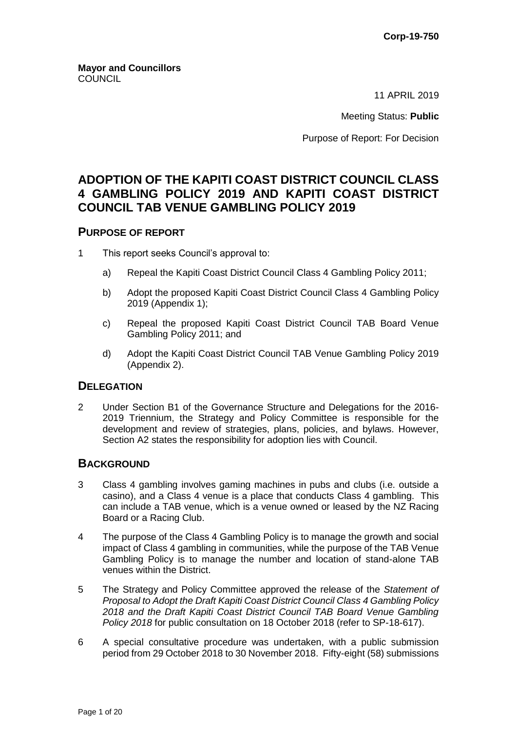11 APRIL 2019

Meeting Status: **Public**

Purpose of Report: For Decision

# **ADOPTION OF THE KAPITI COAST DISTRICT COUNCIL CLASS 4 GAMBLING POLICY 2019 AND KAPITI COAST DISTRICT COUNCIL TAB VENUE GAMBLING POLICY 2019**

## **PURPOSE OF REPORT**

- 1 This report seeks Council's approval to:
	- a) Repeal the Kapiti Coast District Council Class 4 Gambling Policy 2011;
	- b) Adopt the proposed Kapiti Coast District Council Class 4 Gambling Policy 2019 (Appendix 1);
	- c) Repeal the proposed Kapiti Coast District Council TAB Board Venue Gambling Policy 2011; and
	- d) Adopt the Kapiti Coast District Council TAB Venue Gambling Policy 2019 (Appendix 2).

## **DELEGATION**

2 Under Section B1 of the Governance Structure and Delegations for the 2016- 2019 Triennium, the Strategy and Policy Committee is responsible for the development and review of strategies, plans, policies, and bylaws. However, Section A2 states the responsibility for adoption lies with Council.

#### **BACKGROUND**

- 3 Class 4 gambling involves gaming machines in pubs and clubs (i.e. outside a casino), and a Class 4 venue is a place that conducts Class 4 gambling. This can include a TAB venue, which is a venue owned or leased by the NZ Racing Board or a Racing Club.
- 4 The purpose of the Class 4 Gambling Policy is to manage the growth and social impact of Class 4 gambling in communities, while the purpose of the TAB Venue Gambling Policy is to manage the number and location of stand-alone TAB venues within the District.
- 5 The Strategy and Policy Committee approved the release of the *Statement of Proposal to Adopt the Draft Kapiti Coast District Council Class 4 Gambling Policy 2018 and the Draft Kapiti Coast District Council TAB Board Venue Gambling Policy 2018* for public consultation on 18 October 2018 (refer to SP-18-617).
- 6 A special consultative procedure was undertaken, with a public submission period from 29 October 2018 to 30 November 2018. Fifty-eight (58) submissions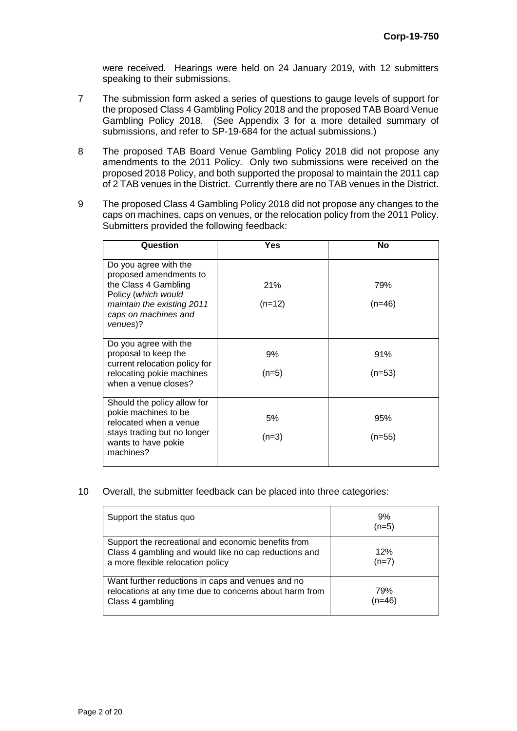were received. Hearings were held on 24 January 2019, with 12 submitters speaking to their submissions.

- 7 The submission form asked a series of questions to gauge levels of support for the proposed Class 4 Gambling Policy 2018 and the proposed TAB Board Venue Gambling Policy 2018. (See Appendix 3 for a more detailed summary of submissions, and refer to SP-19-684 for the actual submissions.)
- 8 The proposed TAB Board Venue Gambling Policy 2018 did not propose any amendments to the 2011 Policy. Only two submissions were received on the proposed 2018 Policy, and both supported the proposal to maintain the 2011 cap of 2 TAB venues in the District. Currently there are no TAB venues in the District.
- 9 The proposed Class 4 Gambling Policy 2018 did not propose any changes to the caps on machines, caps on venues, or the relocation policy from the 2011 Policy. Submitters provided the following feedback:

| Question                                                                           | Yes      | No       |
|------------------------------------------------------------------------------------|----------|----------|
| Do you agree with the<br>proposed amendments to                                    |          |          |
| the Class 4 Gambling<br>Policy (which would                                        | 21%      | 79%      |
| maintain the existing 2011<br>caps on machines and<br>venues)?                     | $(n=12)$ | $(n=46)$ |
| Do you agree with the<br>proposal to keep the                                      | 9%       | 91%      |
| current relocation policy for<br>relocating pokie machines<br>when a venue closes? | $(n=5)$  | $(n=53)$ |
| Should the policy allow for<br>pokie machines to be                                |          |          |
| relocated when a venue                                                             | 5%       | 95%      |
| stays trading but no longer<br>wants to have pokie<br>machines?                    | $(n=3)$  | $(n=55)$ |

10 Overall, the submitter feedback can be placed into three categories:

| Support the status quo                                                                                                                            | 9%<br>$(n=5)$   |
|---------------------------------------------------------------------------------------------------------------------------------------------------|-----------------|
| Support the recreational and economic benefits from<br>Class 4 gambling and would like no cap reductions and<br>a more flexible relocation policy | 12%<br>$(n=7)$  |
| Want further reductions in caps and venues and no<br>relocations at any time due to concerns about harm from<br>Class 4 gambling                  | 79%<br>$(n=46)$ |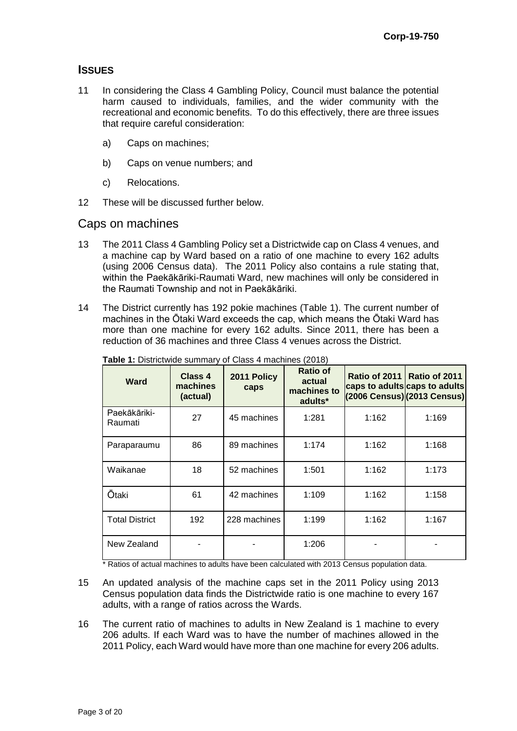## **ISSUES**

- 11 In considering the Class 4 Gambling Policy, Council must balance the potential harm caused to individuals, families, and the wider community with the recreational and economic benefits. To do this effectively, there are three issues that require careful consideration:
	- a) Caps on machines;
	- b) Caps on venue numbers; and
	- c) Relocations.
- 12 These will be discussed further below.

## Caps on machines

- 13 The 2011 Class 4 Gambling Policy set a Districtwide cap on Class 4 venues, and a machine cap by Ward based on a ratio of one machine to every 162 adults (using 2006 Census data). The 2011 Policy also contains a rule stating that, within the Paekākāriki-Raumati Ward, new machines will only be considered in the Raumati Township and not in Paekākāriki.
- 14 The District currently has 192 pokie machines (Table 1). The current number of machines in the Ōtaki Ward exceeds the cap, which means the Ōtaki Ward has more than one machine for every 162 adults. Since 2011, there has been a reduction of 36 machines and three Class 4 venues across the District.

| <b>Ward</b>             | Class 4<br>machines<br>(actual) | 2011 Policy<br>caps | <b>Ratio of</b><br>actual<br>machines to<br>adults* | Ratio of 2011 | Ratio of 2011<br>caps to adults caps to adults<br>(2006 Census) (2013 Census) |
|-------------------------|---------------------------------|---------------------|-----------------------------------------------------|---------------|-------------------------------------------------------------------------------|
| Paekākāriki-<br>Raumati | 27                              | 45 machines         | 1:281                                               | 1:162         | 1:169                                                                         |
| Paraparaumu             | 86                              | 89 machines         | 1:174                                               | 1:162         | 1:168                                                                         |
| Waikanae                | 18                              | 52 machines         | 1:501                                               | 1:162         | 1:173                                                                         |
| <b>Ōtaki</b>            | 61                              | 42 machines         | 1:109                                               | 1:162         | 1:158                                                                         |
| <b>Total District</b>   | 192                             | 228 machines        | 1:199                                               | 1:162         | 1:167                                                                         |
| New Zealand             |                                 |                     | 1:206                                               |               |                                                                               |

**Table 1:** Districtwide summary of Class 4 machines (2018)

\* Ratios of actual machines to adults have been calculated with 2013 Census population data.

- 15 An updated analysis of the machine caps set in the 2011 Policy using 2013 Census population data finds the Districtwide ratio is one machine to every 167 adults, with a range of ratios across the Wards.
- 16 The current ratio of machines to adults in New Zealand is 1 machine to every 206 adults. If each Ward was to have the number of machines allowed in the 2011 Policy, each Ward would have more than one machine for every 206 adults.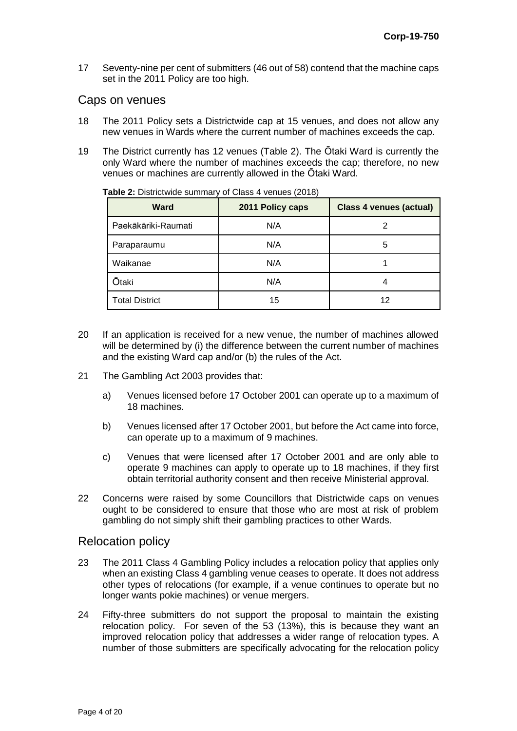17 Seventy-nine per cent of submitters (46 out of 58) contend that the machine caps set in the 2011 Policy are too high.

#### Caps on venues

- 18 The 2011 Policy sets a Districtwide cap at 15 venues, and does not allow any new venues in Wards where the current number of machines exceeds the cap.
- 19 The District currently has 12 venues (Table 2). The Ōtaki Ward is currently the only Ward where the number of machines exceeds the cap; therefore, no new venues or machines are currently allowed in the Ōtaki Ward.

| <b>Ward</b>           | 2011 Policy caps | <b>Class 4 venues (actual)</b> |
|-----------------------|------------------|--------------------------------|
| Paekākāriki-Raumati   | N/A              |                                |
| Paraparaumu           | N/A              | 5                              |
| Waikanae              | N/A              |                                |
| Ōtaki                 | N/A              |                                |
| <b>Total District</b> | 15               | 12                             |

**Table 2:** Districtwide summary of Class 4 venues (2018)

- 20 If an application is received for a new venue, the number of machines allowed will be determined by (i) the difference between the current number of machines and the existing Ward cap and/or (b) the rules of the Act.
- 21 The Gambling Act 2003 provides that:
	- a) Venues licensed before 17 October 2001 can operate up to a maximum of 18 machines.
	- b) Venues licensed after 17 October 2001, but before the Act came into force, can operate up to a maximum of 9 machines.
	- c) Venues that were licensed after 17 October 2001 and are only able to operate 9 machines can apply to operate up to 18 machines, if they first obtain territorial authority consent and then receive Ministerial approval.
- 22 Concerns were raised by some Councillors that Districtwide caps on venues ought to be considered to ensure that those who are most at risk of problem gambling do not simply shift their gambling practices to other Wards.

## Relocation policy

- 23 The 2011 Class 4 Gambling Policy includes a relocation policy that applies only when an existing Class 4 gambling venue ceases to operate. It does not address other types of relocations (for example, if a venue continues to operate but no longer wants pokie machines) or venue mergers.
- 24 Fifty-three submitters do not support the proposal to maintain the existing relocation policy. For seven of the 53 (13%), this is because they want an improved relocation policy that addresses a wider range of relocation types. A number of those submitters are specifically advocating for the relocation policy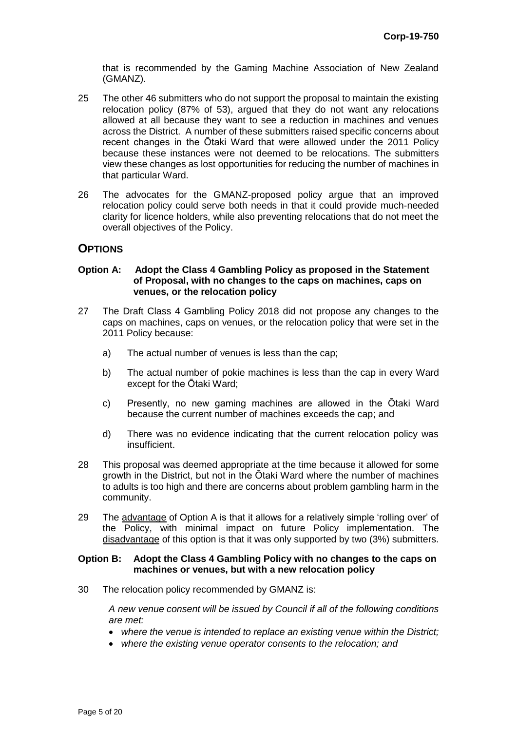that is recommended by the Gaming Machine Association of New Zealand (GMANZ).

- 25 The other 46 submitters who do not support the proposal to maintain the existing relocation policy (87% of 53), argued that they do not want any relocations allowed at all because they want to see a reduction in machines and venues across the District. A number of these submitters raised specific concerns about recent changes in the Ōtaki Ward that were allowed under the 2011 Policy because these instances were not deemed to be relocations. The submitters view these changes as lost opportunities for reducing the number of machines in that particular Ward.
- 26 The advocates for the GMANZ-proposed policy argue that an improved relocation policy could serve both needs in that it could provide much-needed clarity for licence holders, while also preventing relocations that do not meet the overall objectives of the Policy.

## **OPTIONS**

#### **Option A: Adopt the Class 4 Gambling Policy as proposed in the Statement of Proposal, with no changes to the caps on machines, caps on venues, or the relocation policy**

- 27 The Draft Class 4 Gambling Policy 2018 did not propose any changes to the caps on machines, caps on venues, or the relocation policy that were set in the 2011 Policy because:
	- a) The actual number of venues is less than the cap;
	- b) The actual number of pokie machines is less than the cap in every Ward except for the Ōtaki Ward;
	- c) Presently, no new gaming machines are allowed in the Ōtaki Ward because the current number of machines exceeds the cap; and
	- d) There was no evidence indicating that the current relocation policy was insufficient.
- 28 This proposal was deemed appropriate at the time because it allowed for some growth in the District, but not in the Ōtaki Ward where the number of machines to adults is too high and there are concerns about problem gambling harm in the community.
- 29 The advantage of Option A is that it allows for a relatively simple 'rolling over' of the Policy, with minimal impact on future Policy implementation. The disadvantage of this option is that it was only supported by two (3%) submitters.

#### **Option B: Adopt the Class 4 Gambling Policy with no changes to the caps on machines or venues, but with a new relocation policy**

30 The relocation policy recommended by GMANZ is:

*A new venue consent will be issued by Council if all of the following conditions are met:*

- *where the venue is intended to replace an existing venue within the District;*
- *where the existing venue operator consents to the relocation; and*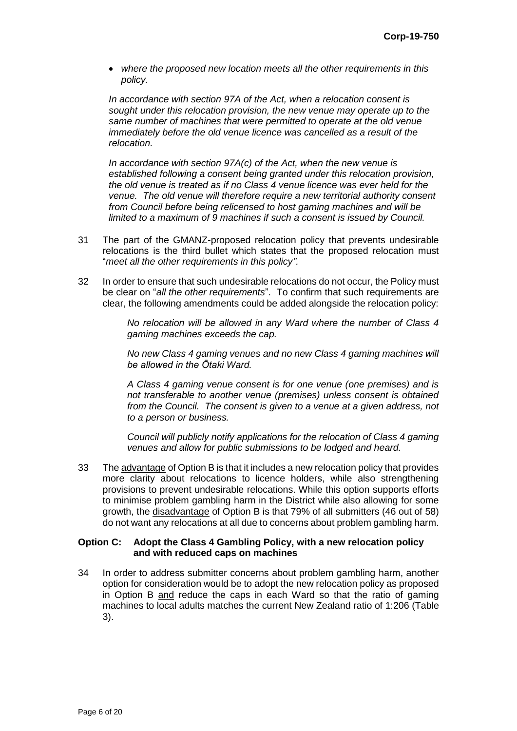*where the proposed new location meets all the other requirements in this policy.*

*In accordance with section 97A of the Act, when a relocation consent is sought under this relocation provision, the new venue may operate up to the same number of machines that were permitted to operate at the old venue immediately before the old venue licence was cancelled as a result of the relocation.*

*In accordance with section 97A(c) of the Act, when the new venue is established following a consent being granted under this relocation provision, the old venue is treated as if no Class 4 venue licence was ever held for the venue. The old venue will therefore require a new territorial authority consent from Council before being relicensed to host gaming machines and will be limited to a maximum of 9 machines if such a consent is issued by Council.*

- 31 The part of the GMANZ-proposed relocation policy that prevents undesirable relocations is the third bullet which states that the proposed relocation must "*meet all the other requirements in this policy".*
- 32 In order to ensure that such undesirable relocations do not occur, the Policy must be clear on "*all the other requirements*". To confirm that such requirements are clear, the following amendments could be added alongside the relocation policy:

*No relocation will be allowed in any Ward where the number of Class 4 gaming machines exceeds the cap.*

*No new Class 4 gaming venues and no new Class 4 gaming machines will be allowed in the Ōtaki Ward.*

*A Class 4 gaming venue consent is for one venue (one premises) and is not transferable to another venue (premises) unless consent is obtained from the Council. The consent is given to a venue at a given address, not to a person or business.*

*Council will publicly notify applications for the relocation of Class 4 gaming venues and allow for public submissions to be lodged and heard.*

33 The advantage of Option B is that it includes a new relocation policy that provides more clarity about relocations to licence holders, while also strengthening provisions to prevent undesirable relocations. While this option supports efforts to minimise problem gambling harm in the District while also allowing for some growth, the disadvantage of Option B is that 79% of all submitters (46 out of 58) do not want any relocations at all due to concerns about problem gambling harm.

#### **Option C: Adopt the Class 4 Gambling Policy, with a new relocation policy and with reduced caps on machines**

34 In order to address submitter concerns about problem gambling harm, another option for consideration would be to adopt the new relocation policy as proposed in Option B and reduce the caps in each Ward so that the ratio of gaming machines to local adults matches the current New Zealand ratio of 1:206 (Table 3).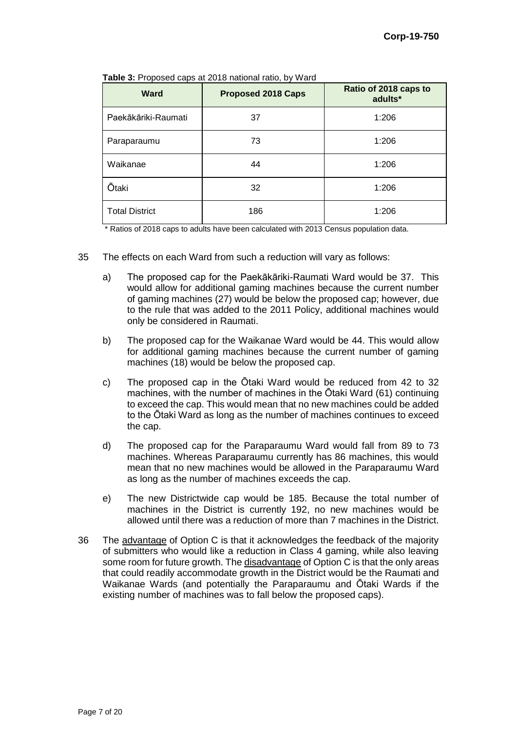| <b>Ward</b>           | <b>Proposed 2018 Caps</b> | Ratio of 2018 caps to<br>adults* |
|-----------------------|---------------------------|----------------------------------|
| Paekākāriki-Raumati   | 37                        | 1:206                            |
| Paraparaumu           | 73                        | 1:206                            |
| Waikanae              | 44                        | 1:206                            |
| <b>Ōtaki</b>          | 32                        | 1:206                            |
| <b>Total District</b> | 186                       | 1:206                            |

**Table 3:** Proposed caps at 2018 national ratio, by Ward

\* Ratios of 2018 caps to adults have been calculated with 2013 Census population data.

- 35 The effects on each Ward from such a reduction will vary as follows:
	- a) The proposed cap for the Paekākāriki-Raumati Ward would be 37. This would allow for additional gaming machines because the current number of gaming machines (27) would be below the proposed cap; however, due to the rule that was added to the 2011 Policy, additional machines would only be considered in Raumati.
	- b) The proposed cap for the Waikanae Ward would be 44. This would allow for additional gaming machines because the current number of gaming machines (18) would be below the proposed cap.
	- c) The proposed cap in the Ōtaki Ward would be reduced from 42 to 32 machines, with the number of machines in the Ōtaki Ward (61) continuing to exceed the cap. This would mean that no new machines could be added to the Ōtaki Ward as long as the number of machines continues to exceed the cap.
	- d) The proposed cap for the Paraparaumu Ward would fall from 89 to 73 machines. Whereas Paraparaumu currently has 86 machines, this would mean that no new machines would be allowed in the Paraparaumu Ward as long as the number of machines exceeds the cap.
	- e) The new Districtwide cap would be 185. Because the total number of machines in the District is currently 192, no new machines would be allowed until there was a reduction of more than 7 machines in the District.
- 36 The advantage of Option C is that it acknowledges the feedback of the majority of submitters who would like a reduction in Class 4 gaming, while also leaving some room for future growth. The disadvantage of Option C is that the only areas that could readily accommodate growth in the District would be the Raumati and Waikanae Wards (and potentially the Paraparaumu and Ōtaki Wards if the existing number of machines was to fall below the proposed caps).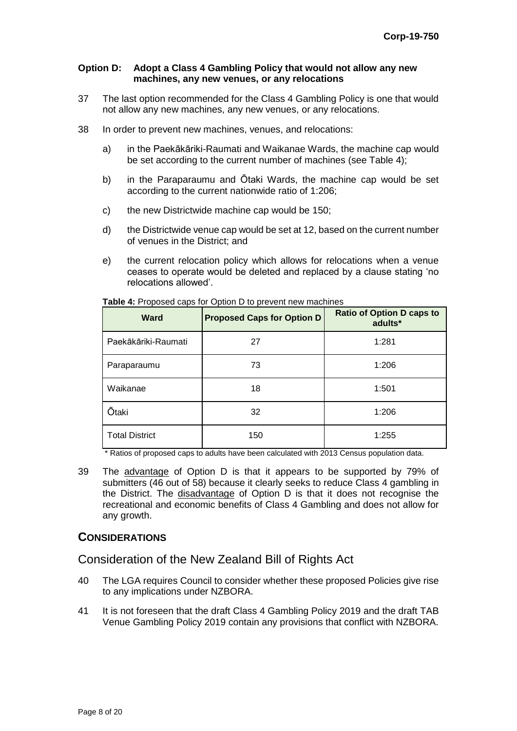#### **Option D: Adopt a Class 4 Gambling Policy that would not allow any new machines, any new venues, or any relocations**

- 37 The last option recommended for the Class 4 Gambling Policy is one that would not allow any new machines, any new venues, or any relocations.
- 38 In order to prevent new machines, venues, and relocations:
	- a) in the Paekākāriki-Raumati and Waikanae Wards, the machine cap would be set according to the current number of machines (see Table 4);
	- b) in the Paraparaumu and Ōtaki Wards, the machine cap would be set according to the current nationwide ratio of 1:206;
	- c) the new Districtwide machine cap would be 150;
	- d) the Districtwide venue cap would be set at 12, based on the current number of venues in the District; and
	- e) the current relocation policy which allows for relocations when a venue ceases to operate would be deleted and replaced by a clause stating 'no relocations allowed'.

| <b>Ward</b>           | <b>Proposed Caps for Option D</b> | <b>Ratio of Option D caps to</b><br>adults* |
|-----------------------|-----------------------------------|---------------------------------------------|
| Paekākāriki-Raumati   | 27                                | 1:281                                       |
| Paraparaumu           | 73                                | 1:206                                       |
| Waikanae              | 18                                | 1:501                                       |
| <b>Ōtaki</b>          | 32                                | 1:206                                       |
| <b>Total District</b> | 150                               | 1:255                                       |

**Table 4:** Proposed caps for Option D to prevent new machines

\* Ratios of proposed caps to adults have been calculated with 2013 Census population data.

39 The advantage of Option D is that it appears to be supported by 79% of submitters (46 out of 58) because it clearly seeks to reduce Class 4 gambling in the District. The disadvantage of Option D is that it does not recognise the recreational and economic benefits of Class 4 Gambling and does not allow for any growth.

#### **CONSIDERATIONS**

## Consideration of the New Zealand Bill of Rights Act

- 40 The LGA requires Council to consider whether these proposed Policies give rise to any implications under NZBORA.
- 41 It is not foreseen that the draft Class 4 Gambling Policy 2019 and the draft TAB Venue Gambling Policy 2019 contain any provisions that conflict with NZBORA.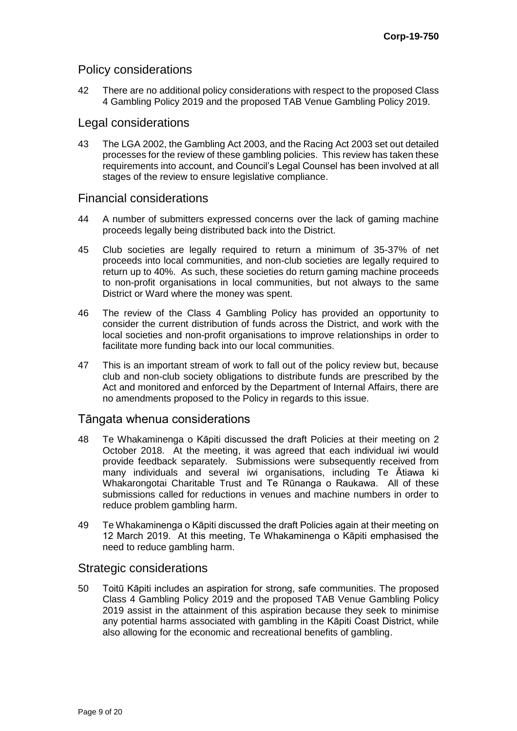## Policy considerations

42 There are no additional policy considerations with respect to the proposed Class 4 Gambling Policy 2019 and the proposed TAB Venue Gambling Policy 2019.

### Legal considerations

43 The LGA 2002, the Gambling Act 2003, and the Racing Act 2003 set out detailed processes for the review of these gambling policies. This review has taken these requirements into account, and Council's Legal Counsel has been involved at all stages of the review to ensure legislative compliance.

## Financial considerations

- 44 A number of submitters expressed concerns over the lack of gaming machine proceeds legally being distributed back into the District.
- 45 Club societies are legally required to return a minimum of 35-37% of net proceeds into local communities, and non-club societies are legally required to return up to 40%. As such, these societies do return gaming machine proceeds to non-profit organisations in local communities, but not always to the same District or Ward where the money was spent.
- 46 The review of the Class 4 Gambling Policy has provided an opportunity to consider the current distribution of funds across the District, and work with the local societies and non-profit organisations to improve relationships in order to facilitate more funding back into our local communities.
- 47 This is an important stream of work to fall out of the policy review but, because club and non-club society obligations to distribute funds are prescribed by the Act and monitored and enforced by the Department of Internal Affairs, there are no amendments proposed to the Policy in regards to this issue.

## Tāngata whenua considerations

- 48 Te Whakaminenga o Kāpiti discussed the draft Policies at their meeting on 2 October 2018. At the meeting, it was agreed that each individual iwi would provide feedback separately. Submissions were subsequently received from many individuals and several iwi organisations, including Te Ātiawa ki Whakarongotai Charitable Trust and Te Rūnanga o Raukawa. All of these submissions called for reductions in venues and machine numbers in order to reduce problem gambling harm.
- 49 Te Whakaminenga o Kāpiti discussed the draft Policies again at their meeting on 12 March 2019. At this meeting, Te Whakaminenga o Kāpiti emphasised the need to reduce gambling harm.

## Strategic considerations

50 Toitū Kāpiti includes an aspiration for strong, safe communities. The proposed Class 4 Gambling Policy 2019 and the proposed TAB Venue Gambling Policy 2019 assist in the attainment of this aspiration because they seek to minimise any potential harms associated with gambling in the Kāpiti Coast District, while also allowing for the economic and recreational benefits of gambling.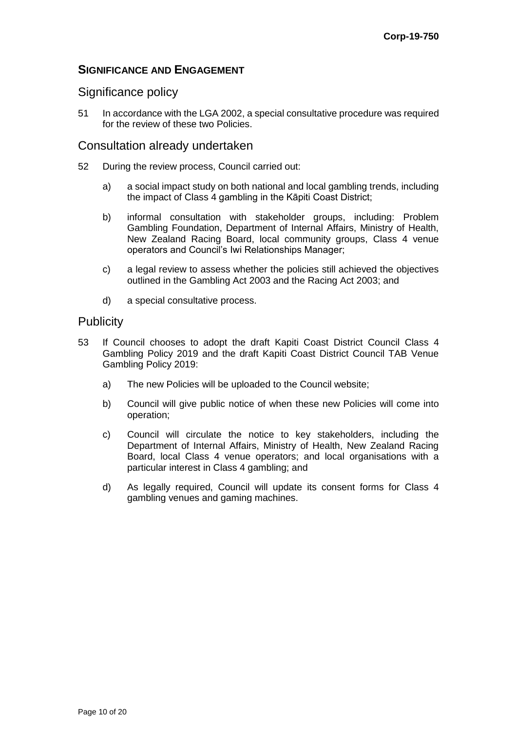## **SIGNIFICANCE AND ENGAGEMENT**

## Significance policy

51 In accordance with the LGA 2002, a special consultative procedure was required for the review of these two Policies.

#### Consultation already undertaken

- 52 During the review process, Council carried out:
	- a) a social impact study on both national and local gambling trends, including the impact of Class 4 gambling in the Kāpiti Coast District;
	- b) informal consultation with stakeholder groups, including: Problem Gambling Foundation, Department of Internal Affairs, Ministry of Health, New Zealand Racing Board, local community groups, Class 4 venue operators and Council's Iwi Relationships Manager;
	- c) a legal review to assess whether the policies still achieved the objectives outlined in the Gambling Act 2003 and the Racing Act 2003; and
	- d) a special consultative process.

## **Publicity**

- 53 If Council chooses to adopt the draft Kapiti Coast District Council Class 4 Gambling Policy 2019 and the draft Kapiti Coast District Council TAB Venue Gambling Policy 2019:
	- a) The new Policies will be uploaded to the Council website;
	- b) Council will give public notice of when these new Policies will come into operation;
	- c) Council will circulate the notice to key stakeholders, including the Department of Internal Affairs, Ministry of Health, New Zealand Racing Board, local Class 4 venue operators; and local organisations with a particular interest in Class 4 gambling; and
	- d) As legally required, Council will update its consent forms for Class 4 gambling venues and gaming machines.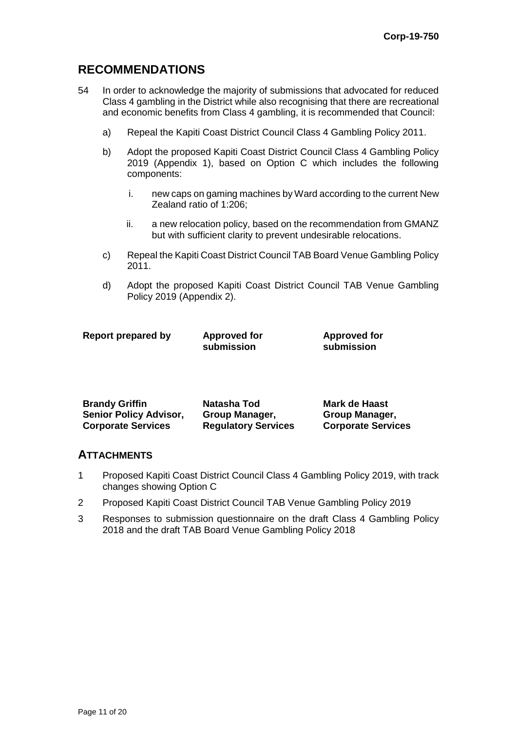for

# **RECOMMENDATIONS**

- 54 In order to acknowledge the majority of submissions that advocated for reduced Class 4 gambling in the District while also recognising that there are recreational and economic benefits from Class 4 gambling, it is recommended that Council:
	- a) Repeal the Kapiti Coast District Council Class 4 Gambling Policy 2011.
	- b) Adopt the proposed Kapiti Coast District Council Class 4 Gambling Policy 2019 (Appendix 1), based on Option C which includes the following components:
		- i. new caps on gaming machines by Ward according to the current New Zealand ratio of 1:206;
		- ii. a new relocation policy, based on the recommendation from GMANZ but with sufficient clarity to prevent undesirable relocations.
	- c) Repeal the Kapiti Coast District Council TAB Board Venue Gambling Policy 2011.
	- d) Adopt the proposed Kapiti Coast District Council TAB Venue Gambling Policy 2019 (Appendix 2).

| Report prepared by | <b>Approved for</b> | <b>Approved fo</b> |
|--------------------|---------------------|--------------------|
|                    | submission          | submission         |

| <b>Brandy Griffin</b>         | Natasha Tod                | Mark de Haast             |
|-------------------------------|----------------------------|---------------------------|
| <b>Senior Policy Advisor,</b> | <b>Group Manager,</b>      | <b>Group Manager,</b>     |
| <b>Corporate Services</b>     | <b>Regulatory Services</b> | <b>Corporate Services</b> |

#### **ATTACHMENTS**

- 1 Proposed Kapiti Coast District Council Class 4 Gambling Policy 2019, with track changes showing Option C
- 2 Proposed Kapiti Coast District Council TAB Venue Gambling Policy 2019
- 3 Responses to submission questionnaire on the draft Class 4 Gambling Policy 2018 and the draft TAB Board Venue Gambling Policy 2018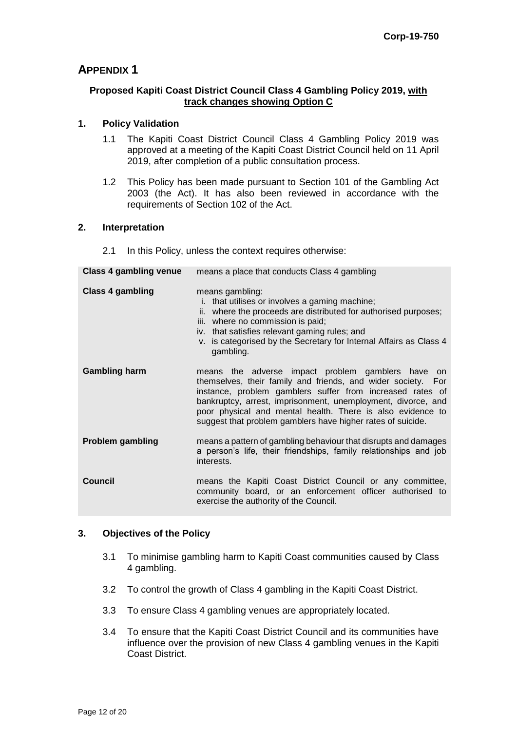## **APPENDIX 1**

#### **Proposed Kapiti Coast District Council Class 4 Gambling Policy 2019, with track changes showing Option C**

#### **1. Policy Validation**

- 1.1 The Kapiti Coast District Council Class 4 Gambling Policy 2019 was approved at a meeting of the Kapiti Coast District Council held on 11 April 2019, after completion of a public consultation process.
- 1.2 This Policy has been made pursuant to Section 101 of the Gambling Act 2003 (the Act). It has also been reviewed in accordance with the requirements of Section 102 of the Act.

#### **2. Interpretation**

2.1 In this Policy, unless the context requires otherwise:

| Class 4 gambling venue  | means a place that conducts Class 4 gambling                                                                                                                                                                                                                                                                                                                                |
|-------------------------|-----------------------------------------------------------------------------------------------------------------------------------------------------------------------------------------------------------------------------------------------------------------------------------------------------------------------------------------------------------------------------|
| <b>Class 4 gambling</b> | means gambling:<br>that utilises or involves a gaming machine;<br>i.<br>ii. where the proceeds are distributed for authorised purposes;<br>iii. where no commission is paid;<br>iv. that satisfies relevant gaming rules; and<br>v. is categorised by the Secretary for Internal Affairs as Class 4<br>gambling.                                                            |
| <b>Gambling harm</b>    | means the adverse impact problem gamblers have on<br>themselves, their family and friends, and wider society. For<br>instance, problem gamblers suffer from increased rates of<br>bankruptcy, arrest, imprisonment, unemployment, divorce, and<br>poor physical and mental health. There is also evidence to<br>suggest that problem gamblers have higher rates of suicide. |
| <b>Problem gambling</b> | means a pattern of gambling behaviour that disrupts and damages<br>a person's life, their friendships, family relationships and job<br>interests.                                                                                                                                                                                                                           |
| <b>Council</b>          | means the Kapiti Coast District Council or any committee,<br>community board, or an enforcement officer authorised to<br>exercise the authority of the Council.                                                                                                                                                                                                             |

#### **3. Objectives of the Policy**

- 3.1 To minimise gambling harm to Kapiti Coast communities caused by Class 4 gambling.
- 3.2 To control the growth of Class 4 gambling in the Kapiti Coast District.
- 3.3 To ensure Class 4 gambling venues are appropriately located.
- 3.4 To ensure that the Kapiti Coast District Council and its communities have influence over the provision of new Class 4 gambling venues in the Kapiti Coast District.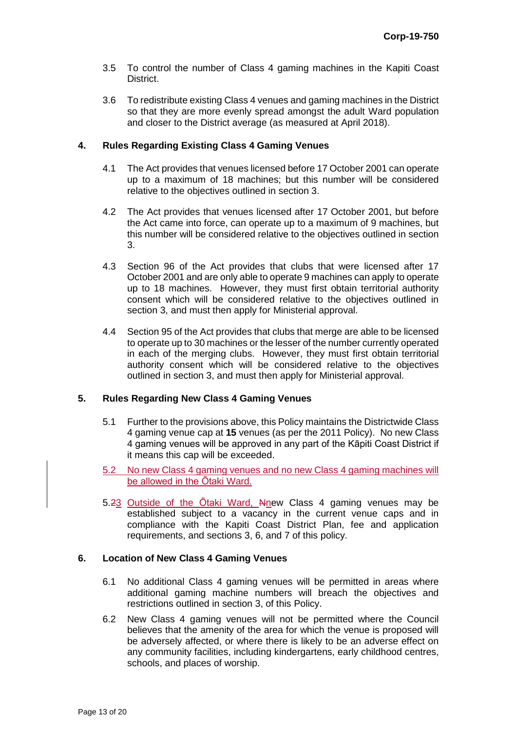- 3.5 To control the number of Class 4 gaming machines in the Kapiti Coast District.
- 3.6 To redistribute existing Class 4 venues and gaming machines in the District so that they are more evenly spread amongst the adult Ward population and closer to the District average (as measured at April 2018).

#### **4. Rules Regarding Existing Class 4 Gaming Venues**

- 4.1 The Act provides that venues licensed before 17 October 2001 can operate up to a maximum of 18 machines; but this number will be considered relative to the objectives outlined in section 3.
- 4.2 The Act provides that venues licensed after 17 October 2001, but before the Act came into force, can operate up to a maximum of 9 machines, but this number will be considered relative to the objectives outlined in section 3.
- 4.3 Section 96 of the Act provides that clubs that were licensed after 17 October 2001 and are only able to operate 9 machines can apply to operate up to 18 machines. However, they must first obtain territorial authority consent which will be considered relative to the objectives outlined in section 3, and must then apply for Ministerial approval.
- 4.4 Section 95 of the Act provides that clubs that merge are able to be licensed to operate up to 30 machines or the lesser of the number currently operated in each of the merging clubs. However, they must first obtain territorial authority consent which will be considered relative to the objectives outlined in section 3, and must then apply for Ministerial approval.

#### **5. Rules Regarding New Class 4 Gaming Venues**

- 5.1 Further to the provisions above, this Policy maintains the Districtwide Class 4 gaming venue cap at **15** venues (as per the 2011 Policy). No new Class 4 gaming venues will be approved in any part of the Kāpiti Coast District if it means this cap will be exceeded.
- 5.2 No new Class 4 gaming venues and no new Class 4 gaming machines will be allowed in the Ōtaki Ward.
- 5.23 Outside of the Otaki Ward, Nnew Class 4 gaming venues may be established subject to a vacancy in the current venue caps and in compliance with the Kapiti Coast District Plan, fee and application requirements, and sections 3, 6, and 7 of this policy.

#### **6. Location of New Class 4 Gaming Venues**

- 6.1 No additional Class 4 gaming venues will be permitted in areas where additional gaming machine numbers will breach the objectives and restrictions outlined in section 3, of this Policy.
- 6.2 New Class 4 gaming venues will not be permitted where the Council believes that the amenity of the area for which the venue is proposed will be adversely affected, or where there is likely to be an adverse effect on any community facilities, including kindergartens, early childhood centres, schools, and places of worship.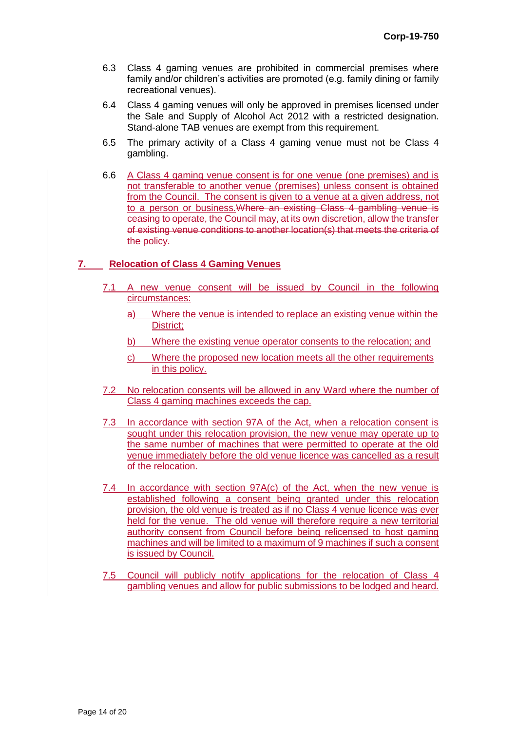- 6.3 Class 4 gaming venues are prohibited in commercial premises where family and/or children's activities are promoted (e.g. family dining or family recreational venues).
- 6.4 Class 4 gaming venues will only be approved in premises licensed under the Sale and Supply of Alcohol Act 2012 with a restricted designation. Stand-alone TAB venues are exempt from this requirement.
- 6.5 The primary activity of a Class 4 gaming venue must not be Class 4 gambling.
- 6.6 A Class 4 gaming venue consent is for one venue (one premises) and is not transferable to another venue (premises) unless consent is obtained from the Council. The consent is given to a venue at a given address, not to a person or business.Where an existing Class 4 gambling venue is ceasing to operate, the Council may, at its own discretion, allow the transfer of existing venue conditions to another location(s) that meets the criteria of the policy.

#### **7. Relocation of Class 4 Gaming Venues**

- 7.1 A new venue consent will be issued by Council in the following circumstances:
	- a) Where the venue is intended to replace an existing venue within the District;
	- b) Where the existing venue operator consents to the relocation; and
	- c) Where the proposed new location meets all the other requirements in this policy.
- 7.2 No relocation consents will be allowed in any Ward where the number of Class 4 gaming machines exceeds the cap.
- 7.3 In accordance with section 97A of the Act, when a relocation consent is sought under this relocation provision, the new venue may operate up to the same number of machines that were permitted to operate at the old venue immediately before the old venue licence was cancelled as a result of the relocation.
- 7.4 In accordance with section 97A(c) of the Act, when the new venue is established following a consent being granted under this relocation provision, the old venue is treated as if no Class 4 venue licence was ever held for the venue. The old venue will therefore require a new territorial authority consent from Council before being relicensed to host gaming machines and will be limited to a maximum of 9 machines if such a consent is issued by Council.
- 7.5 Council will publicly notify applications for the relocation of Class 4 gambling venues and allow for public submissions to be lodged and heard.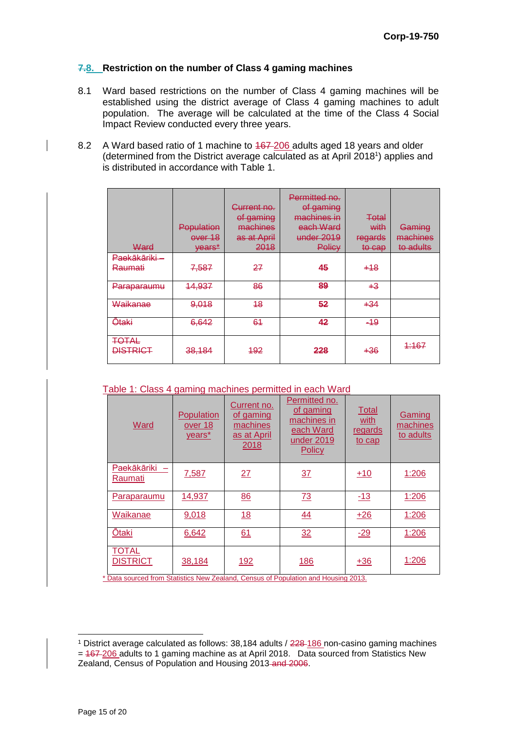#### **7.8. Restriction on the number of Class 4 gaming machines**

- 8.1 Ward based restrictions on the number of Class 4 gaming machines will be established using the district average of Class 4 gaming machines to adult population. The average will be calculated at the time of the Class 4 Social Impact Review conducted every three years.
- 8.2 A Ward based ratio of 1 machine to  $467-206$  adults aged 18 years and older (determined from the District average calculated as at April 2018<sup>1</sup>) applies and is distributed in accordance with Table 1.

| Ward                            | Population<br>over 18<br><del>vears*</del> | <del>Current no.</del><br>of gaming<br>machines<br>as at April<br>2018 | Permitted no.<br>of gaming<br><del>machines in</del><br>each Ward<br>under 2019<br>Policy | ∓etal<br>with<br>regards<br>to cap | Gaming<br>machines<br>to adults |
|---------------------------------|--------------------------------------------|------------------------------------------------------------------------|-------------------------------------------------------------------------------------------|------------------------------------|---------------------------------|
| Paekākāriki<br><b>Raumati</b>   | 7,587                                      | 27                                                                     | 45                                                                                        | +18                                |                                 |
| Paraparaumu                     | 14,937                                     | 86                                                                     | 89                                                                                        | +3                                 |                                 |
| Waikanae                        | 9,018                                      | 48                                                                     | 52                                                                                        | +34                                |                                 |
| <b>Ōtaki</b>                    | 6,642                                      | 61                                                                     | 42                                                                                        | $-49$                              |                                 |
| <b>TOTAL</b><br><b>DISTRICT</b> | 38,184                                     | 492                                                                    | 228                                                                                       | +36                                | 4:167                           |

Table 1: Class 4 gaming machines permitted in each Ward

| Ward                            | Population<br>over 18<br>years* | Current no.<br>of gaming<br>machines<br>as at April<br>2018 | Permitted no.<br>of gaming<br>machines in<br>each Ward<br>under 2019<br>Policy | <b>Total</b><br>with<br>regards<br>to cap | Gaming<br>machines<br>to adults |
|---------------------------------|---------------------------------|-------------------------------------------------------------|--------------------------------------------------------------------------------|-------------------------------------------|---------------------------------|
| Paekākāriki<br>Raumati          | 7,587                           | 27                                                          | 37                                                                             | $+10$                                     | 1:206                           |
| Paraparaumu                     | 14,937                          | 86                                                          | <b>73</b>                                                                      | $-13$                                     | 1:206                           |
| Waikanae                        | 9,018                           | 18                                                          | 44                                                                             | $+26$                                     | 1:206                           |
| <b>Ōtaki</b>                    | 6,642                           | 61                                                          | 32                                                                             | $-29$                                     | 1:206                           |
| <b>TOTAL</b><br><b>DISTRICT</b> | 38,184                          | <u>192</u>                                                  | <u>186</u>                                                                     | $+36$                                     | 1:206                           |

\* Data sourced from Statistics New Zealand, Census of Population and Housing 2013.

 <sup>1</sup> District average calculated as follows: 38,184 adults / 228-186 non-casino gaming machines = 467-206 adults to 1 gaming machine as at April 2018. Data sourced from Statistics New Zealand, Census of Population and Housing 2013 and 2006.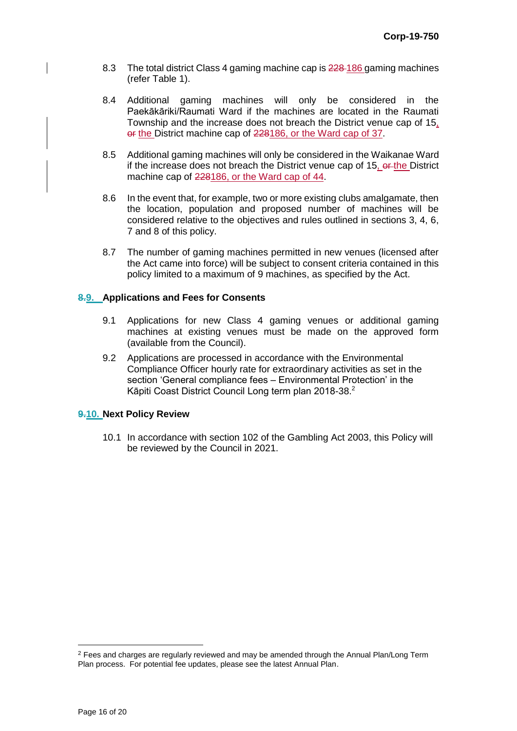- 8.3 The total district Class 4 gaming machine cap is  $228-186$  gaming machines (refer Table 1).
- 8.4 Additional gaming machines will only be considered in the Paekākāriki/Raumati Ward if the machines are located in the Raumati Township and the increase does not breach the District venue cap of 15, or the District machine cap of 228186, or the Ward cap of 37.
- 8.5 Additional gaming machines will only be considered in the Waikanae Ward if the increase does not breach the District venue cap of 15, or the District machine cap of 228186, or the Ward cap of 44.
- 8.6 In the event that, for example, two or more existing clubs amalgamate, then the location, population and proposed number of machines will be considered relative to the objectives and rules outlined in sections 3, 4, 6, 7 and 8 of this policy.
- 8.7 The number of gaming machines permitted in new venues (licensed after the Act came into force) will be subject to consent criteria contained in this policy limited to a maximum of 9 machines, as specified by the Act.

#### **8.9. Applications and Fees for Consents**

- 9.1 Applications for new Class 4 gaming venues or additional gaming machines at existing venues must be made on the approved form (available from the Council).
- 9.2 Applications are processed in accordance with the Environmental Compliance Officer hourly rate for extraordinary activities as set in the section 'General compliance fees – Environmental Protection' in the Kāpiti Coast District Council Long term plan 2018-38.<sup>2</sup>

#### **9.10. Next Policy Review**

10.1 In accordance with section 102 of the Gambling Act 2003, this Policy will be reviewed by the Council in 2021.

 $\overline{a}$ 

 $2$  Fees and charges are regularly reviewed and may be amended through the Annual Plan/Long Term Plan process. For potential fee updates, please see the latest Annual Plan.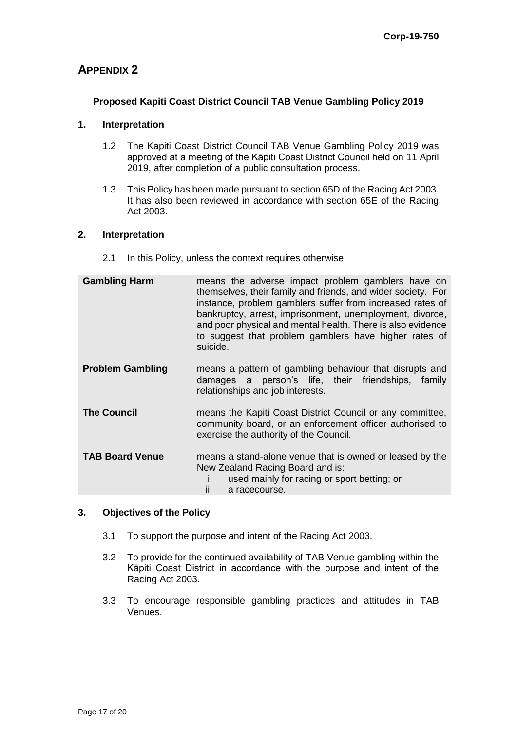# **APPENDIX 2**

## **Proposed Kapiti Coast District Council TAB Venue Gambling Policy 2019**

#### **1. Interpretation**

- 1.2 The Kapiti Coast District Council TAB Venue Gambling Policy 2019 was approved at a meeting of the Kāpiti Coast District Council held on 11 April 2019, after completion of a public consultation process.
- 1.3 This Policy has been made pursuant to section 65D of the Racing Act 2003. It has also been reviewed in accordance with section 65E of the Racing Act 2003.

#### **2. Interpretation**

2.1 In this Policy, unless the context requires otherwise:

| <b>Gambling Harm</b>    | means the adverse impact problem gamblers have on<br>themselves, their family and friends, and wider society. For<br>instance, problem gamblers suffer from increased rates of<br>bankruptcy, arrest, imprisonment, unemployment, divorce,<br>and poor physical and mental health. There is also evidence<br>to suggest that problem gamblers have higher rates of<br>suicide. |
|-------------------------|--------------------------------------------------------------------------------------------------------------------------------------------------------------------------------------------------------------------------------------------------------------------------------------------------------------------------------------------------------------------------------|
| <b>Problem Gambling</b> | means a pattern of gambling behaviour that disrupts and<br>person's life, their friendships, family<br>damages a<br>relationships and job interests.                                                                                                                                                                                                                           |
| <b>The Council</b>      | means the Kapiti Coast District Council or any committee,<br>community board, or an enforcement officer authorised to<br>exercise the authority of the Council.                                                                                                                                                                                                                |
| <b>TAB Board Venue</b>  | means a stand-alone venue that is owned or leased by the<br>New Zealand Racing Board and is:<br>used mainly for racing or sport betting; or<br>a racecourse.<br>II.                                                                                                                                                                                                            |

#### **3. Objectives of the Policy**

- 3.1 To support the purpose and intent of the Racing Act 2003.
- 3.2 To provide for the continued availability of TAB Venue gambling within the Kāpiti Coast District in accordance with the purpose and intent of the Racing Act 2003.
- 3.3 To encourage responsible gambling practices and attitudes in TAB Venues.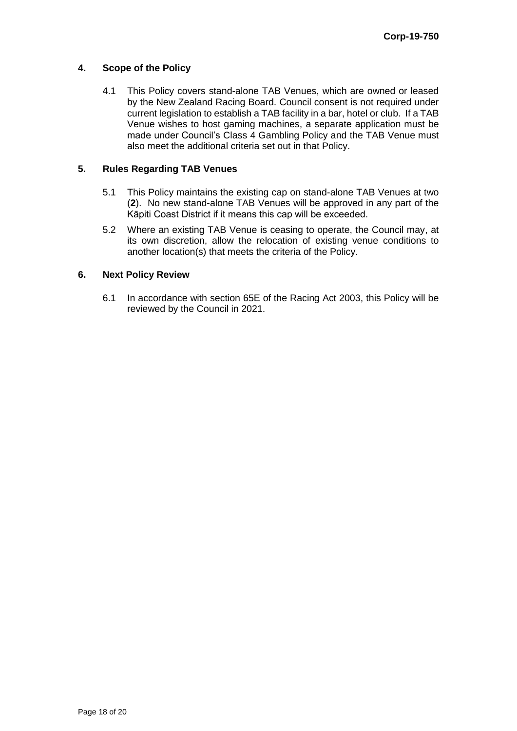#### **4. Scope of the Policy**

4.1 This Policy covers stand-alone TAB Venues, which are owned or leased by the New Zealand Racing Board. Council consent is not required under current legislation to establish a TAB facility in a bar, hotel or club. If a TAB Venue wishes to host gaming machines, a separate application must be made under Council's Class 4 Gambling Policy and the TAB Venue must also meet the additional criteria set out in that Policy.

#### **5. Rules Regarding TAB Venues**

- 5.1 This Policy maintains the existing cap on stand-alone TAB Venues at two (**2**). No new stand-alone TAB Venues will be approved in any part of the Kāpiti Coast District if it means this cap will be exceeded.
- 5.2 Where an existing TAB Venue is ceasing to operate, the Council may, at its own discretion, allow the relocation of existing venue conditions to another location(s) that meets the criteria of the Policy.

#### **6. Next Policy Review**

6.1 In accordance with section 65E of the Racing Act 2003, this Policy will be reviewed by the Council in 2021.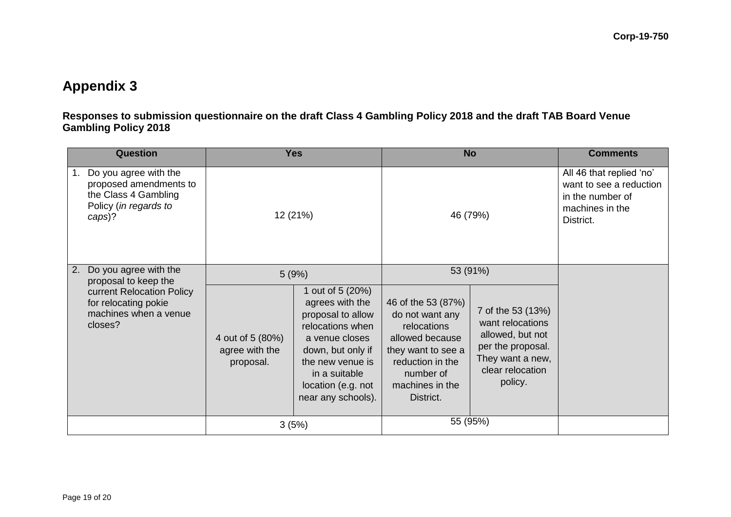# **Appendix 3**

**Responses to submission questionnaire on the draft Class 4 Gambling Policy 2018 and the draft TAB Board Venue Gambling Policy 2018** 

| <b>Question</b> |                                                                                                                                        | <b>Yes</b>                                      |                                                                                                                                                                                                      | <b>No</b>                                                                                                                                                      |                                                                                                                                   | <b>Comments</b>                                                                                         |
|-----------------|----------------------------------------------------------------------------------------------------------------------------------------|-------------------------------------------------|------------------------------------------------------------------------------------------------------------------------------------------------------------------------------------------------------|----------------------------------------------------------------------------------------------------------------------------------------------------------------|-----------------------------------------------------------------------------------------------------------------------------------|---------------------------------------------------------------------------------------------------------|
| 1.              | Do you agree with the<br>proposed amendments to<br>the Class 4 Gambling<br>Policy (in regards to<br>caps)?                             | 12 (21%)                                        |                                                                                                                                                                                                      | 46 (79%)                                                                                                                                                       |                                                                                                                                   | All 46 that replied 'no'<br>want to see a reduction<br>in the number of<br>machines in the<br>District. |
| 2.              | Do you agree with the<br>proposal to keep the<br>current Relocation Policy<br>for relocating pokie<br>machines when a venue<br>closes? | 5(9%)                                           |                                                                                                                                                                                                      | 53 (91%)                                                                                                                                                       |                                                                                                                                   |                                                                                                         |
|                 |                                                                                                                                        | 4 out of 5 (80%)<br>agree with the<br>proposal. | 1 out of 5 (20%)<br>agrees with the<br>proposal to allow<br>relocations when<br>a venue closes<br>down, but only if<br>the new venue is<br>in a suitable<br>location (e.g. not<br>near any schools). | 46 of the 53 (87%)<br>do not want any<br>relocations<br>allowed because<br>they want to see a<br>reduction in the<br>number of<br>machines in the<br>District. | 7 of the 53 (13%)<br>want relocations<br>allowed, but not<br>per the proposal.<br>They want a new,<br>clear relocation<br>policy. |                                                                                                         |
|                 |                                                                                                                                        | 3(5%)                                           |                                                                                                                                                                                                      | 55 (95%)                                                                                                                                                       |                                                                                                                                   |                                                                                                         |